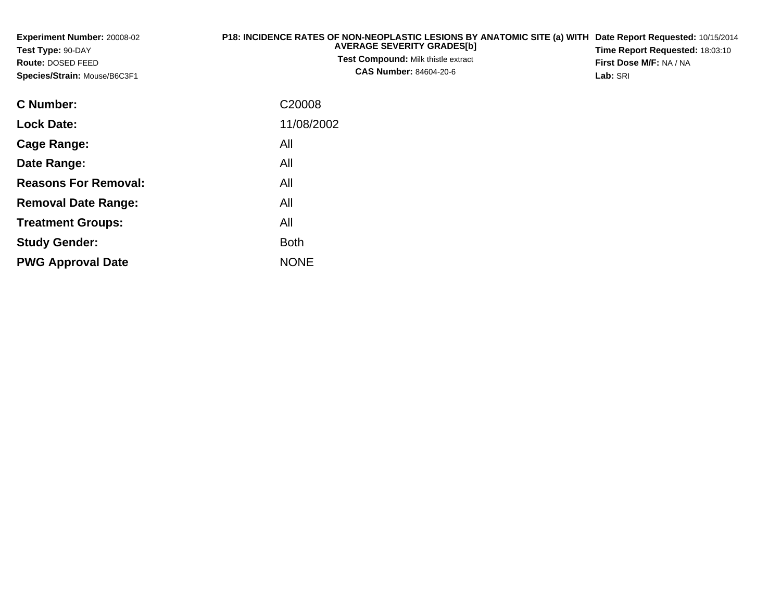| <b>Experiment Number: 20008-02</b><br>Test Type: 90-DAY<br><b>Route: DOSED FEED</b><br>Species/Strain: Mouse/B6C3F1 | P18: INCIDENCE RATES OF NON-NEOPLASTIC LESIONS BY ANATOMIC SITE (a) WITH Date Report Requested: 10/15/2014<br><b>AVERAGE SEVERITY GRADES[b]</b><br><b>Test Compound: Milk thistle extract</b><br><b>CAS Number: 84604-20-6</b> | <b>Time Report Requested: 18:03:10</b><br><b>First Dose M/F: NA / NA</b><br>Lab: SRI |
|---------------------------------------------------------------------------------------------------------------------|--------------------------------------------------------------------------------------------------------------------------------------------------------------------------------------------------------------------------------|--------------------------------------------------------------------------------------|
| $\bigcap$ Message and                                                                                               | 0.0000                                                                                                                                                                                                                         |                                                                                      |

| <b>C</b> Number:            | C <sub>20008</sub> |
|-----------------------------|--------------------|
| <b>Lock Date:</b>           | 11/08/2002         |
| Cage Range:                 | All                |
| Date Range:                 | All                |
| <b>Reasons For Removal:</b> | All                |
| <b>Removal Date Range:</b>  | All                |
| <b>Treatment Groups:</b>    | All                |
| <b>Study Gender:</b>        | <b>Both</b>        |
| <b>PWG Approval Date</b>    | <b>NONE</b>        |
|                             |                    |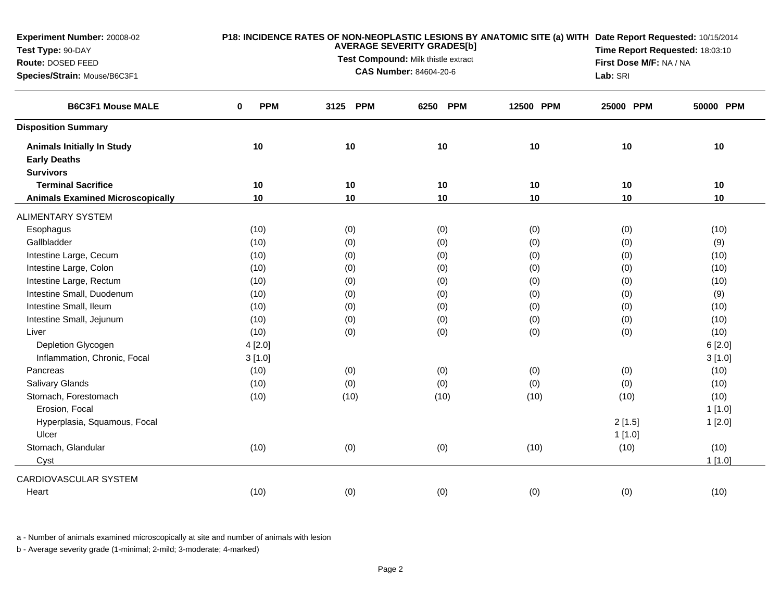| Experiment Number: 20008-02<br>Test Type: 90-DAY<br>Route: DOSED FEED<br>Species/Strain: Mouse/B6C3F1 | P18: INCIDENCE RATES OF NON-NEOPLASTIC LESIONS BY ANATOMIC SITE (a) WITH Date Report Requested: 10/15/2014<br><b>AVERAGE SEVERITY GRADES[b]</b><br>Time Report Requested: 18:03:10<br>Test Compound: Milk thistle extract<br>First Dose M/F: NA / NA<br><b>CAS Number: 84604-20-6</b><br>Lab: SRI |          |                    |           |           |           |
|-------------------------------------------------------------------------------------------------------|---------------------------------------------------------------------------------------------------------------------------------------------------------------------------------------------------------------------------------------------------------------------------------------------------|----------|--------------------|-----------|-----------|-----------|
| <b>B6C3F1 Mouse MALE</b>                                                                              | <b>PPM</b><br>0                                                                                                                                                                                                                                                                                   | 3125 PPM | <b>PPM</b><br>6250 | 12500 PPM | 25000 PPM | 50000 PPM |
| <b>Disposition Summary</b>                                                                            |                                                                                                                                                                                                                                                                                                   |          |                    |           |           |           |
| <b>Animals Initially In Study</b>                                                                     | 10                                                                                                                                                                                                                                                                                                | 10       | $10$               | 10        | 10        | 10        |
| <b>Early Deaths</b>                                                                                   |                                                                                                                                                                                                                                                                                                   |          |                    |           |           |           |
| <b>Survivors</b>                                                                                      |                                                                                                                                                                                                                                                                                                   |          |                    |           |           |           |
| <b>Terminal Sacrifice</b>                                                                             | 10                                                                                                                                                                                                                                                                                                | 10       | 10                 | 10        | 10        | 10        |
| <b>Animals Examined Microscopically</b>                                                               | 10                                                                                                                                                                                                                                                                                                | 10       | 10                 | 10        | 10        | 10        |
| <b>ALIMENTARY SYSTEM</b>                                                                              |                                                                                                                                                                                                                                                                                                   |          |                    |           |           |           |
| Esophagus                                                                                             | (10)                                                                                                                                                                                                                                                                                              | (0)      | (0)                | (0)       | (0)       | (10)      |
| Gallbladder                                                                                           | (10)                                                                                                                                                                                                                                                                                              | (0)      | (0)                | (0)       | (0)       | (9)       |
| Intestine Large, Cecum                                                                                | (10)                                                                                                                                                                                                                                                                                              | (0)      | (0)                | (0)       | (0)       | (10)      |
| Intestine Large, Colon                                                                                | (10)                                                                                                                                                                                                                                                                                              | (0)      | (0)                | (0)       | (0)       | (10)      |
| Intestine Large, Rectum                                                                               | (10)                                                                                                                                                                                                                                                                                              | (0)      | (0)                | (0)       | (0)       | (10)      |
| Intestine Small, Duodenum                                                                             | (10)                                                                                                                                                                                                                                                                                              | (0)      | (0)                | (0)       | (0)       | (9)       |
| Intestine Small, Ileum                                                                                | (10)                                                                                                                                                                                                                                                                                              | (0)      | (0)                | (0)       | (0)       | (10)      |
| Intestine Small, Jejunum                                                                              | (10)                                                                                                                                                                                                                                                                                              | (0)      | (0)                | (0)       | (0)       | (10)      |
| Liver                                                                                                 | (10)                                                                                                                                                                                                                                                                                              | (0)      | (0)                | (0)       | (0)       | (10)      |
| Depletion Glycogen                                                                                    | 4[2.0]                                                                                                                                                                                                                                                                                            |          |                    |           |           | 6[2.0]    |
| Inflammation, Chronic, Focal                                                                          | 3[1.0]                                                                                                                                                                                                                                                                                            |          |                    |           |           | 3[1.0]    |
| Pancreas                                                                                              | (10)                                                                                                                                                                                                                                                                                              | (0)      | (0)                | (0)       | (0)       | (10)      |
| Salivary Glands                                                                                       | (10)                                                                                                                                                                                                                                                                                              | (0)      | (0)                | (0)       | (0)       | (10)      |
| Stomach, Forestomach                                                                                  | (10)                                                                                                                                                                                                                                                                                              | (10)     | (10)               | (10)      | (10)      | (10)      |
| Erosion, Focal                                                                                        |                                                                                                                                                                                                                                                                                                   |          |                    |           |           | 1[1.0]    |
| Hyperplasia, Squamous, Focal                                                                          |                                                                                                                                                                                                                                                                                                   |          |                    |           | 2[1.5]    | 1[2.0]    |
| Ulcer                                                                                                 |                                                                                                                                                                                                                                                                                                   |          |                    |           | 1[1.0]    |           |
| Stomach, Glandular                                                                                    | (10)                                                                                                                                                                                                                                                                                              | (0)      | (0)                | (10)      | (10)      | (10)      |
| Cyst                                                                                                  |                                                                                                                                                                                                                                                                                                   |          |                    |           |           | 1[1.0]    |
| CARDIOVASCULAR SYSTEM                                                                                 |                                                                                                                                                                                                                                                                                                   |          |                    |           |           |           |
| Heart                                                                                                 | (10)                                                                                                                                                                                                                                                                                              | (0)      | (0)                | (0)       | (0)       | (10)      |

a - Number of animals examined microscopically at site and number of animals with lesion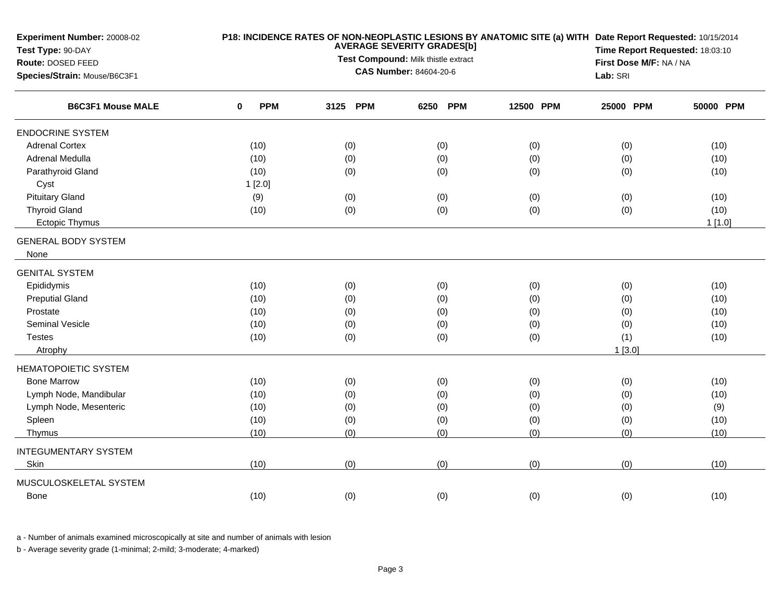| Experiment Number: 20008-02<br>Test Type: 90-DAY<br>Route: DOSED FEED<br>Species/Strain: Mouse/B6C3F1 |                 | P18: INCIDENCE RATES OF NON-NEOPLASTIC LESIONS BY ANATOMIC SITE (a) WITH Date Report Requested: 10/15/2014<br>Time Report Requested: 18:03:10<br>First Dose M/F: NA / NA<br>Lab: SRI |                    |           |           |           |
|-------------------------------------------------------------------------------------------------------|-----------------|--------------------------------------------------------------------------------------------------------------------------------------------------------------------------------------|--------------------|-----------|-----------|-----------|
| <b>B6C3F1 Mouse MALE</b>                                                                              | <b>PPM</b><br>0 | 3125 PPM                                                                                                                                                                             | <b>PPM</b><br>6250 | 12500 PPM | 25000 PPM | 50000 PPM |
| <b>ENDOCRINE SYSTEM</b>                                                                               |                 |                                                                                                                                                                                      |                    |           |           |           |
| <b>Adrenal Cortex</b>                                                                                 | (10)            | (0)                                                                                                                                                                                  | (0)                | (0)       | (0)       | (10)      |
| Adrenal Medulla                                                                                       | (10)            | (0)                                                                                                                                                                                  | (0)                | (0)       | (0)       | (10)      |
| Parathyroid Gland                                                                                     | (10)            | (0)                                                                                                                                                                                  | (0)                | (0)       | (0)       | (10)      |
| Cyst                                                                                                  | 1[2.0]          |                                                                                                                                                                                      |                    |           |           |           |
| <b>Pituitary Gland</b>                                                                                | (9)             | (0)                                                                                                                                                                                  | (0)                | (0)       | (0)       | (10)      |
| <b>Thyroid Gland</b>                                                                                  | (10)            | (0)                                                                                                                                                                                  | (0)                | (0)       | (0)       | (10)      |
| <b>Ectopic Thymus</b>                                                                                 |                 |                                                                                                                                                                                      |                    |           |           | $1$ [1.0] |
| <b>GENERAL BODY SYSTEM</b>                                                                            |                 |                                                                                                                                                                                      |                    |           |           |           |
| None                                                                                                  |                 |                                                                                                                                                                                      |                    |           |           |           |
| <b>GENITAL SYSTEM</b>                                                                                 |                 |                                                                                                                                                                                      |                    |           |           |           |
| Epididymis                                                                                            | (10)            | (0)                                                                                                                                                                                  | (0)                | (0)       | (0)       | (10)      |
| <b>Preputial Gland</b>                                                                                | (10)            | (0)                                                                                                                                                                                  | (0)                | (0)       | (0)       | (10)      |
| Prostate                                                                                              | (10)            | (0)                                                                                                                                                                                  | (0)                | (0)       | (0)       | (10)      |
| <b>Seminal Vesicle</b>                                                                                | (10)            | (0)                                                                                                                                                                                  | (0)                | (0)       | (0)       | (10)      |
| <b>Testes</b>                                                                                         | (10)            | (0)                                                                                                                                                                                  | (0)                | (0)       | (1)       | (10)      |
| Atrophy                                                                                               |                 |                                                                                                                                                                                      |                    |           | 1[3.0]    |           |
| <b>HEMATOPOIETIC SYSTEM</b>                                                                           |                 |                                                                                                                                                                                      |                    |           |           |           |
| <b>Bone Marrow</b>                                                                                    | (10)            | (0)                                                                                                                                                                                  | (0)                | (0)       | (0)       | (10)      |
| Lymph Node, Mandibular                                                                                | (10)            | (0)                                                                                                                                                                                  | (0)                | (0)       | (0)       | (10)      |
| Lymph Node, Mesenteric                                                                                | (10)            | (0)                                                                                                                                                                                  | (0)                | (0)       | (0)       | (9)       |
| Spleen                                                                                                | (10)            | (0)                                                                                                                                                                                  | (0)                | (0)       | (0)       | (10)      |
| Thymus                                                                                                | (10)            | (0)                                                                                                                                                                                  | (0)                | (0)       | (0)       | (10)      |
| <b>INTEGUMENTARY SYSTEM</b>                                                                           |                 |                                                                                                                                                                                      |                    |           |           |           |
| Skin                                                                                                  | (10)            | (0)                                                                                                                                                                                  | (0)                | (0)       | (0)       | (10)      |
| MUSCULOSKELETAL SYSTEM                                                                                |                 |                                                                                                                                                                                      |                    |           |           |           |
| <b>Bone</b>                                                                                           | (10)            | (0)                                                                                                                                                                                  | (0)                | (0)       | (0)       | (10)      |
|                                                                                                       |                 |                                                                                                                                                                                      |                    |           |           |           |

a - Number of animals examined microscopically at site and number of animals with lesion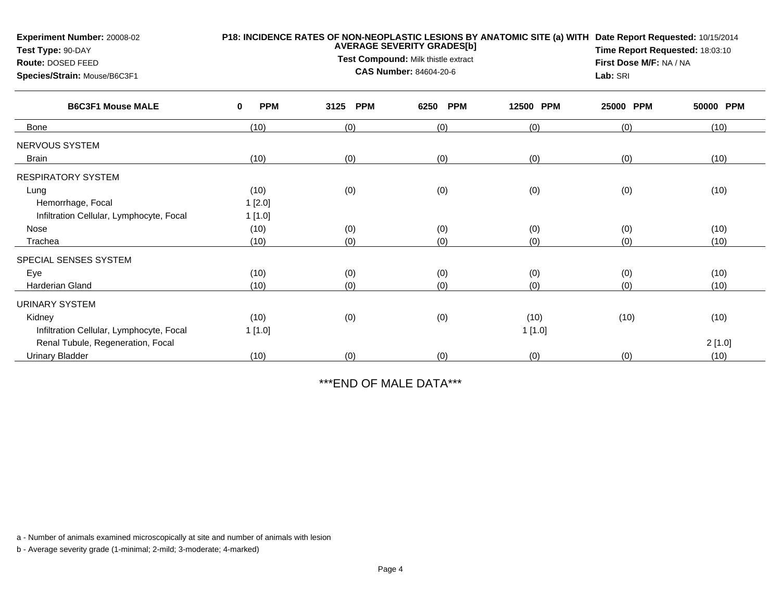| Experiment Number: 20008-02<br>Test Type: 90-DAY |                 | <b>AVERAGE SEVERITY GRADES[b]</b> | P18: INCIDENCE RATES OF NON-NEOPLASTIC LESIONS BY ANATOMIC SITE (a) WITH Date Report Requested: 10/15/2014<br>Time Report Requested: 18:03:10 |           |                         |           |  |
|--------------------------------------------------|-----------------|-----------------------------------|-----------------------------------------------------------------------------------------------------------------------------------------------|-----------|-------------------------|-----------|--|
| Route: DOSED FEED                                |                 |                                   | Test Compound: Milk thistle extract                                                                                                           |           | First Dose M/F: NA / NA |           |  |
| Species/Strain: Mouse/B6C3F1                     |                 | <b>CAS Number: 84604-20-6</b>     | Lab: SRI                                                                                                                                      |           |                         |           |  |
| <b>B6C3F1 Mouse MALE</b>                         | <b>PPM</b><br>0 | 3125<br><b>PPM</b>                | <b>PPM</b><br>6250                                                                                                                            | 12500 PPM | 25000<br><b>PPM</b>     | 50000 PPM |  |
| <b>Bone</b>                                      | (10)            | (0)                               | (0)                                                                                                                                           | (0)       | (0)                     | (10)      |  |
| NERVOUS SYSTEM                                   |                 |                                   |                                                                                                                                               |           |                         |           |  |
| <b>Brain</b>                                     | (10)            | (0)                               | (0)                                                                                                                                           | (0)       | (0)                     | (10)      |  |
| <b>RESPIRATORY SYSTEM</b>                        |                 |                                   |                                                                                                                                               |           |                         |           |  |
| Lung                                             | (10)            | (0)                               | (0)                                                                                                                                           | (0)       | (0)                     | (10)      |  |
| Hemorrhage, Focal                                | 1[2.0]          |                                   |                                                                                                                                               |           |                         |           |  |
| Infiltration Cellular, Lymphocyte, Focal         | 1[1.0]          |                                   |                                                                                                                                               |           |                         |           |  |
| Nose                                             | (10)            | (0)                               | (0)                                                                                                                                           | (0)       | (0)                     | (10)      |  |
| Trachea                                          | (10)            | (0)                               | (0)                                                                                                                                           | (0)       | (0)                     | (10)      |  |
| SPECIAL SENSES SYSTEM                            |                 |                                   |                                                                                                                                               |           |                         |           |  |
| Eye                                              | (10)            | (0)                               | (0)                                                                                                                                           | (0)       | (0)                     | (10)      |  |
| <b>Harderian Gland</b>                           | (10)            | (0)                               | (0)                                                                                                                                           | (0)       | (0)                     | (10)      |  |
| <b>URINARY SYSTEM</b>                            |                 |                                   |                                                                                                                                               |           |                         |           |  |
| Kidney                                           | (10)            | (0)                               | (0)                                                                                                                                           | (10)      | (10)                    | (10)      |  |
| Infiltration Cellular, Lymphocyte, Focal         | 1[1.0]          |                                   |                                                                                                                                               | 1[1.0]    |                         |           |  |
| Renal Tubule, Regeneration, Focal                |                 |                                   |                                                                                                                                               |           |                         | 2[1.0]    |  |
| <b>Urinary Bladder</b>                           | (10)            | (0)                               | (0)                                                                                                                                           | (0)       | (0)                     | (10)      |  |

\*\*\*END OF MALE DATA\*\*\*

a - Number of animals examined microscopically at site and number of animals with lesion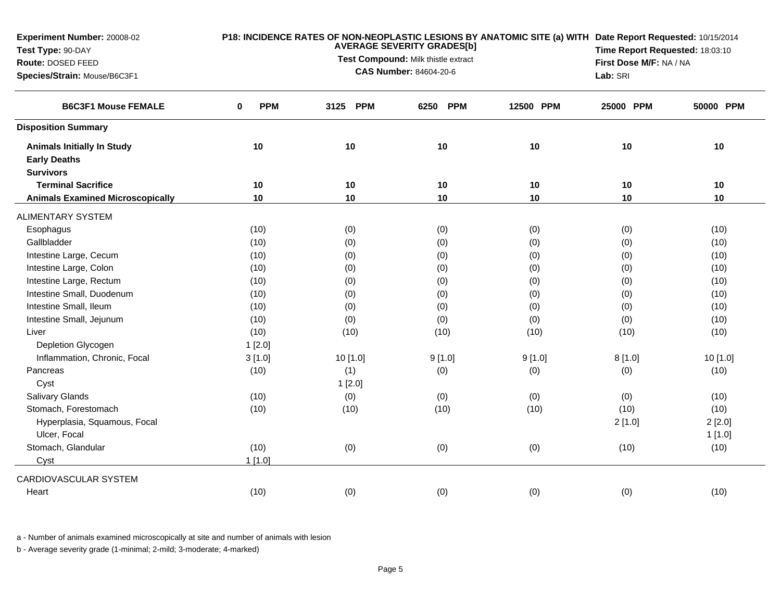| <b>PPM</b><br>3125 PPM<br>6250 PPM<br>25000 PPM<br><b>B6C3F1 Mouse FEMALE</b><br>0<br>12500 PPM<br><b>Disposition Summary</b><br>10<br>10<br>10<br>10<br><b>Animals Initially In Study</b><br>10<br><b>Early Deaths</b><br><b>Survivors</b><br>10<br><b>Terminal Sacrifice</b><br>10<br>10<br>10<br>10<br>10<br>10<br>10<br>10<br>10<br><b>Animals Examined Microscopically</b><br><b>ALIMENTARY SYSTEM</b><br>Esophagus<br>(10)<br>(0)<br>(0)<br>(0)<br>(0)<br>Gallbladder<br>(10)<br>(0)<br>(0)<br>(0)<br>(0)<br>Intestine Large, Cecum<br>(0)<br>(0)<br>(10)<br>(0)<br>(0)<br>Intestine Large, Colon<br>(0)<br>(0)<br>(10)<br>(0)<br>(0)<br>Intestine Large, Rectum<br>(10)<br>(0)<br>(0)<br>(0)<br>(0)<br>Intestine Small, Duodenum<br>(10)<br>(0)<br>(0)<br>(0)<br>(0)<br>Intestine Small, Ileum<br>(10)<br>(0)<br>(0)<br>(0)<br>(0)<br>Intestine Small, Jejunum<br>(10)<br>(0)<br>(0)<br>(0)<br>(0)<br>Liver<br>(10)<br>(10)<br>(10)<br>(10)<br>(10)<br>Depletion Glycogen<br>1[2.0]<br>Inflammation, Chronic, Focal<br>10 [1.0]<br>9[1.0]<br>9[1.0]<br>8[1.0]<br>3[1.0] | 50000 PPM<br>$10$ |
|--------------------------------------------------------------------------------------------------------------------------------------------------------------------------------------------------------------------------------------------------------------------------------------------------------------------------------------------------------------------------------------------------------------------------------------------------------------------------------------------------------------------------------------------------------------------------------------------------------------------------------------------------------------------------------------------------------------------------------------------------------------------------------------------------------------------------------------------------------------------------------------------------------------------------------------------------------------------------------------------------------------------------------------------------------------------------------|-------------------|
|                                                                                                                                                                                                                                                                                                                                                                                                                                                                                                                                                                                                                                                                                                                                                                                                                                                                                                                                                                                                                                                                                |                   |
|                                                                                                                                                                                                                                                                                                                                                                                                                                                                                                                                                                                                                                                                                                                                                                                                                                                                                                                                                                                                                                                                                |                   |
|                                                                                                                                                                                                                                                                                                                                                                                                                                                                                                                                                                                                                                                                                                                                                                                                                                                                                                                                                                                                                                                                                |                   |
|                                                                                                                                                                                                                                                                                                                                                                                                                                                                                                                                                                                                                                                                                                                                                                                                                                                                                                                                                                                                                                                                                | 10                |
|                                                                                                                                                                                                                                                                                                                                                                                                                                                                                                                                                                                                                                                                                                                                                                                                                                                                                                                                                                                                                                                                                | $10$              |
|                                                                                                                                                                                                                                                                                                                                                                                                                                                                                                                                                                                                                                                                                                                                                                                                                                                                                                                                                                                                                                                                                |                   |
|                                                                                                                                                                                                                                                                                                                                                                                                                                                                                                                                                                                                                                                                                                                                                                                                                                                                                                                                                                                                                                                                                | (10)              |
|                                                                                                                                                                                                                                                                                                                                                                                                                                                                                                                                                                                                                                                                                                                                                                                                                                                                                                                                                                                                                                                                                | (10)              |
|                                                                                                                                                                                                                                                                                                                                                                                                                                                                                                                                                                                                                                                                                                                                                                                                                                                                                                                                                                                                                                                                                | (10)              |
|                                                                                                                                                                                                                                                                                                                                                                                                                                                                                                                                                                                                                                                                                                                                                                                                                                                                                                                                                                                                                                                                                | (10)              |
|                                                                                                                                                                                                                                                                                                                                                                                                                                                                                                                                                                                                                                                                                                                                                                                                                                                                                                                                                                                                                                                                                | (10)              |
|                                                                                                                                                                                                                                                                                                                                                                                                                                                                                                                                                                                                                                                                                                                                                                                                                                                                                                                                                                                                                                                                                | (10)              |
|                                                                                                                                                                                                                                                                                                                                                                                                                                                                                                                                                                                                                                                                                                                                                                                                                                                                                                                                                                                                                                                                                | (10)              |
|                                                                                                                                                                                                                                                                                                                                                                                                                                                                                                                                                                                                                                                                                                                                                                                                                                                                                                                                                                                                                                                                                | (10)              |
|                                                                                                                                                                                                                                                                                                                                                                                                                                                                                                                                                                                                                                                                                                                                                                                                                                                                                                                                                                                                                                                                                | (10)              |
|                                                                                                                                                                                                                                                                                                                                                                                                                                                                                                                                                                                                                                                                                                                                                                                                                                                                                                                                                                                                                                                                                |                   |
|                                                                                                                                                                                                                                                                                                                                                                                                                                                                                                                                                                                                                                                                                                                                                                                                                                                                                                                                                                                                                                                                                | 10 [1.0]          |
| (1)<br>Pancreas<br>(0)<br>(0)<br>(0)<br>(10)                                                                                                                                                                                                                                                                                                                                                                                                                                                                                                                                                                                                                                                                                                                                                                                                                                                                                                                                                                                                                                   | (10)              |
| Cyst<br>1[2.0]                                                                                                                                                                                                                                                                                                                                                                                                                                                                                                                                                                                                                                                                                                                                                                                                                                                                                                                                                                                                                                                                 |                   |
| <b>Salivary Glands</b><br>(10)<br>(0)<br>(0)<br>(0)<br>(0)                                                                                                                                                                                                                                                                                                                                                                                                                                                                                                                                                                                                                                                                                                                                                                                                                                                                                                                                                                                                                     | (10)              |
| Stomach, Forestomach<br>(10)<br>(10)<br>(10)<br>(10)<br>(10)                                                                                                                                                                                                                                                                                                                                                                                                                                                                                                                                                                                                                                                                                                                                                                                                                                                                                                                                                                                                                   | (10)              |
| Hyperplasia, Squamous, Focal<br>2[1.0]                                                                                                                                                                                                                                                                                                                                                                                                                                                                                                                                                                                                                                                                                                                                                                                                                                                                                                                                                                                                                                         | 2[2.0]            |
| Ulcer, Focal                                                                                                                                                                                                                                                                                                                                                                                                                                                                                                                                                                                                                                                                                                                                                                                                                                                                                                                                                                                                                                                                   | 1[1.0]            |
| Stomach, Glandular<br>(10)<br>(0)<br>(0)<br>(0)<br>(10)                                                                                                                                                                                                                                                                                                                                                                                                                                                                                                                                                                                                                                                                                                                                                                                                                                                                                                                                                                                                                        | (10)              |
| Cyst<br>1[1.0]                                                                                                                                                                                                                                                                                                                                                                                                                                                                                                                                                                                                                                                                                                                                                                                                                                                                                                                                                                                                                                                                 |                   |
| CARDIOVASCULAR SYSTEM                                                                                                                                                                                                                                                                                                                                                                                                                                                                                                                                                                                                                                                                                                                                                                                                                                                                                                                                                                                                                                                          |                   |
| (0)<br>(0)<br>(10)<br>(0)<br>(0)<br>Heart                                                                                                                                                                                                                                                                                                                                                                                                                                                                                                                                                                                                                                                                                                                                                                                                                                                                                                                                                                                                                                      | (10)              |

a - Number of animals examined microscopically at site and number of animals with lesion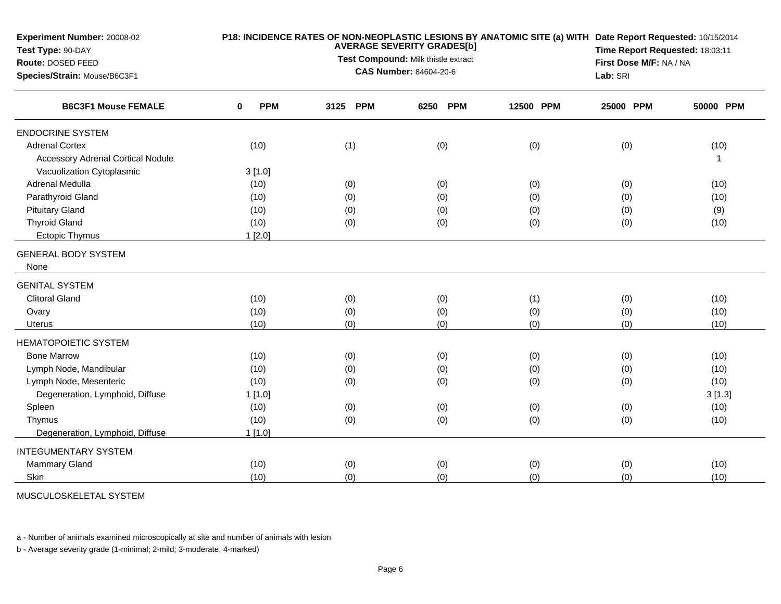| Experiment Number: 20008-02<br>Test Type: 90-DAY<br>Route: DOSED FEED<br>Species/Strain: Mouse/B6C3F1 |                 | P18: INCIDENCE RATES OF NON-NEOPLASTIC LESIONS BY ANATOMIC SITE (a) WITH Date Report Requested: 10/15/2014<br>Time Report Requested: 18:03:11<br>First Dose M/F: NA / NA<br>Lab: SRI |          |           |           |           |
|-------------------------------------------------------------------------------------------------------|-----------------|--------------------------------------------------------------------------------------------------------------------------------------------------------------------------------------|----------|-----------|-----------|-----------|
| <b>B6C3F1 Mouse FEMALE</b>                                                                            | <b>PPM</b><br>0 | 3125 PPM                                                                                                                                                                             | 6250 PPM | 12500 PPM | 25000 PPM | 50000 PPM |
| <b>ENDOCRINE SYSTEM</b>                                                                               |                 |                                                                                                                                                                                      |          |           |           |           |
| <b>Adrenal Cortex</b>                                                                                 | (10)            | (1)                                                                                                                                                                                  | (0)      | (0)       | (0)       | (10)      |
| <b>Accessory Adrenal Cortical Nodule</b>                                                              |                 |                                                                                                                                                                                      |          |           |           |           |
| Vacuolization Cytoplasmic                                                                             | 3[1.0]          |                                                                                                                                                                                      |          |           |           |           |
| Adrenal Medulla                                                                                       | (10)            | (0)                                                                                                                                                                                  | (0)      | (0)       | (0)       | (10)      |
| Parathyroid Gland                                                                                     | (10)            | (0)                                                                                                                                                                                  | (0)      | (0)       | (0)       | (10)      |
| <b>Pituitary Gland</b>                                                                                | (10)            | (0)                                                                                                                                                                                  | (0)      | (0)       | (0)       | (9)       |
| <b>Thyroid Gland</b>                                                                                  | (10)            | (0)                                                                                                                                                                                  | (0)      | (0)       | (0)       | (10)      |
| Ectopic Thymus                                                                                        | 1[2.0]          |                                                                                                                                                                                      |          |           |           |           |
| <b>GENERAL BODY SYSTEM</b>                                                                            |                 |                                                                                                                                                                                      |          |           |           |           |
| None                                                                                                  |                 |                                                                                                                                                                                      |          |           |           |           |
| <b>GENITAL SYSTEM</b>                                                                                 |                 |                                                                                                                                                                                      |          |           |           |           |
| <b>Clitoral Gland</b>                                                                                 | (10)            | (0)                                                                                                                                                                                  | (0)      | (1)       | (0)       | (10)      |
| Ovary                                                                                                 | (10)            | (0)                                                                                                                                                                                  | (0)      | (0)       | (0)       | (10)      |
| <b>Uterus</b>                                                                                         | (10)            | (0)                                                                                                                                                                                  | (0)      | (0)       | (0)       | (10)      |
| <b>HEMATOPOIETIC SYSTEM</b>                                                                           |                 |                                                                                                                                                                                      |          |           |           |           |
| <b>Bone Marrow</b>                                                                                    | (10)            | (0)                                                                                                                                                                                  | (0)      | (0)       | (0)       | (10)      |
| Lymph Node, Mandibular                                                                                | (10)            | (0)                                                                                                                                                                                  | (0)      | (0)       | (0)       | (10)      |
| Lymph Node, Mesenteric                                                                                | (10)            | (0)                                                                                                                                                                                  | (0)      | (0)       | (0)       | (10)      |
| Degeneration, Lymphoid, Diffuse                                                                       | 1[1.0]          |                                                                                                                                                                                      |          |           |           | 3[1.3]    |
| Spleen                                                                                                | (10)            | (0)                                                                                                                                                                                  | (0)      | (0)       | (0)       | (10)      |
| Thymus                                                                                                | (10)            | (0)                                                                                                                                                                                  | (0)      | (0)       | (0)       | (10)      |
| Degeneration, Lymphoid, Diffuse                                                                       | 1[1.0]          |                                                                                                                                                                                      |          |           |           |           |
| <b>INTEGUMENTARY SYSTEM</b>                                                                           |                 |                                                                                                                                                                                      |          |           |           |           |
| Mammary Gland                                                                                         | (10)            | (0)                                                                                                                                                                                  | (0)      | (0)       | (0)       | (10)      |
| Skin                                                                                                  | (10)            | (0)                                                                                                                                                                                  | (0)      | (0)       | (0)       | (10)      |

MUSCULOSKELETAL SYSTEM

a - Number of animals examined microscopically at site and number of animals with lesion